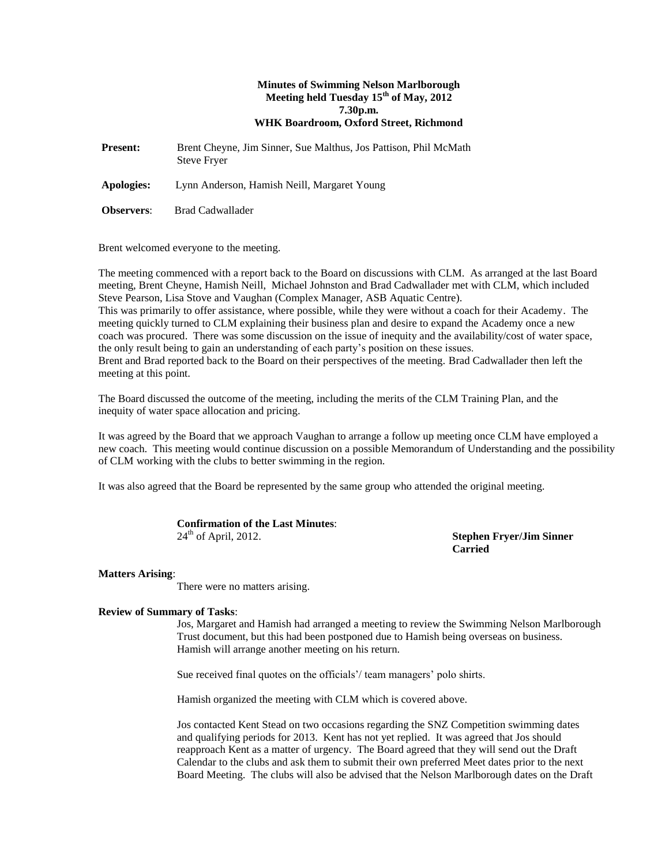# **Minutes of Swimming Nelson Marlborough Meeting held Tuesday 15th of May, 2012 7.30p.m. WHK Boardroom, Oxford Street, Richmond**

**Present:** Brent Cheyne, Jim Sinner, Sue Malthus, Jos Pattison, Phil McMath Steve Fryer

**Apologies:** Lynn Anderson, Hamish Neill, Margaret Young

**Observers**: Brad Cadwallader

Brent welcomed everyone to the meeting.

The meeting commenced with a report back to the Board on discussions with CLM. As arranged at the last Board meeting, Brent Cheyne, Hamish Neill, Michael Johnston and Brad Cadwallader met with CLM, which included Steve Pearson, Lisa Stove and Vaughan (Complex Manager, ASB Aquatic Centre). This was primarily to offer assistance, where possible, while they were without a coach for their Academy. The

meeting quickly turned to CLM explaining their business plan and desire to expand the Academy once a new coach was procured. There was some discussion on the issue of inequity and the availability/cost of water space, the only result being to gain an understanding of each party's position on these issues. Brent and Brad reported back to the Board on their perspectives of the meeting. Brad Cadwallader then left the meeting at this point.

The Board discussed the outcome of the meeting, including the merits of the CLM Training Plan, and the inequity of water space allocation and pricing.

It was agreed by the Board that we approach Vaughan to arrange a follow up meeting once CLM have employed a new coach. This meeting would continue discussion on a possible Memorandum of Understanding and the possibility of CLM working with the clubs to better swimming in the region.

It was also agreed that the Board be represented by the same group who attended the original meeting.

| <b>Confirmation of the Last Minutes:</b> |  |
|------------------------------------------|--|
| $24th$ of April, 2012.                   |  |

**Stephen Fryer/Jim Sinner Carried**

# **Matters Arising**:

There were no matters arising.

# **Review of Summary of Tasks**:

Jos, Margaret and Hamish had arranged a meeting to review the Swimming Nelson Marlborough Trust document, but this had been postponed due to Hamish being overseas on business. Hamish will arrange another meeting on his return.

Sue received final quotes on the officials'/ team managers' polo shirts.

Hamish organized the meeting with CLM which is covered above.

Jos contacted Kent Stead on two occasions regarding the SNZ Competition swimming dates and qualifying periods for 2013. Kent has not yet replied. It was agreed that Jos should reapproach Kent as a matter of urgency. The Board agreed that they will send out the Draft Calendar to the clubs and ask them to submit their own preferred Meet dates prior to the next Board Meeting. The clubs will also be advised that the Nelson Marlborough dates on the Draft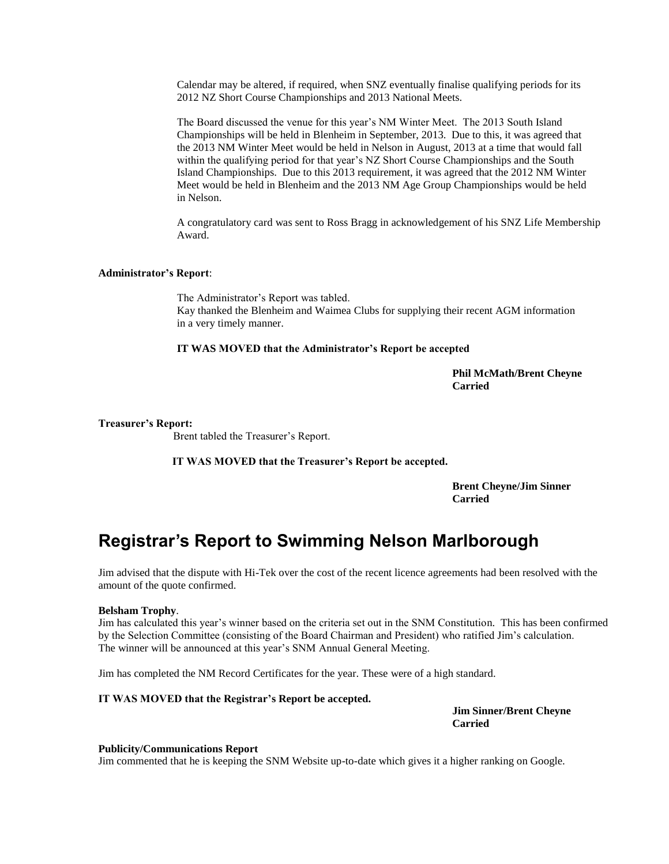Calendar may be altered, if required, when SNZ eventually finalise qualifying periods for its 2012 NZ Short Course Championships and 2013 National Meets.

The Board discussed the venue for this year's NM Winter Meet. The 2013 South Island Championships will be held in Blenheim in September, 2013. Due to this, it was agreed that the 2013 NM Winter Meet would be held in Nelson in August, 2013 at a time that would fall within the qualifying period for that year's NZ Short Course Championships and the South Island Championships. Due to this 2013 requirement, it was agreed that the 2012 NM Winter Meet would be held in Blenheim and the 2013 NM Age Group Championships would be held in Nelson.

A congratulatory card was sent to Ross Bragg in acknowledgement of his SNZ Life Membership Award.

# **Administrator's Report**:

The Administrator's Report was tabled. Kay thanked the Blenheim and Waimea Clubs for supplying their recent AGM information in a very timely manner.

#### **IT WAS MOVED that the Administrator's Report be accepted**

**Phil McMath/Brent Cheyne Carried**

#### **Treasurer's Report:**

Brent tabled the Treasurer's Report.

**IT WAS MOVED that the Treasurer's Report be accepted.**

**Brent Cheyne/Jim Sinner Carried** 

# **Registrar's Report to Swimming Nelson Marlborough**

Jim advised that the dispute with Hi-Tek over the cost of the recent licence agreements had been resolved with the amount of the quote confirmed.

# **Belsham Trophy**.

Jim has calculated this year's winner based on the criteria set out in the SNM Constitution. This has been confirmed by the Selection Committee (consisting of the Board Chairman and President) who ratified Jim's calculation. The winner will be announced at this year's SNM Annual General Meeting.

Jim has completed the NM Record Certificates for the year. These were of a high standard.

#### **IT WAS MOVED that the Registrar's Report be accepted.**

**Jim Sinner/Brent Cheyne Carried**

#### **Publicity/Communications Report**

Jim commented that he is keeping the SNM Website up-to-date which gives it a higher ranking on Google.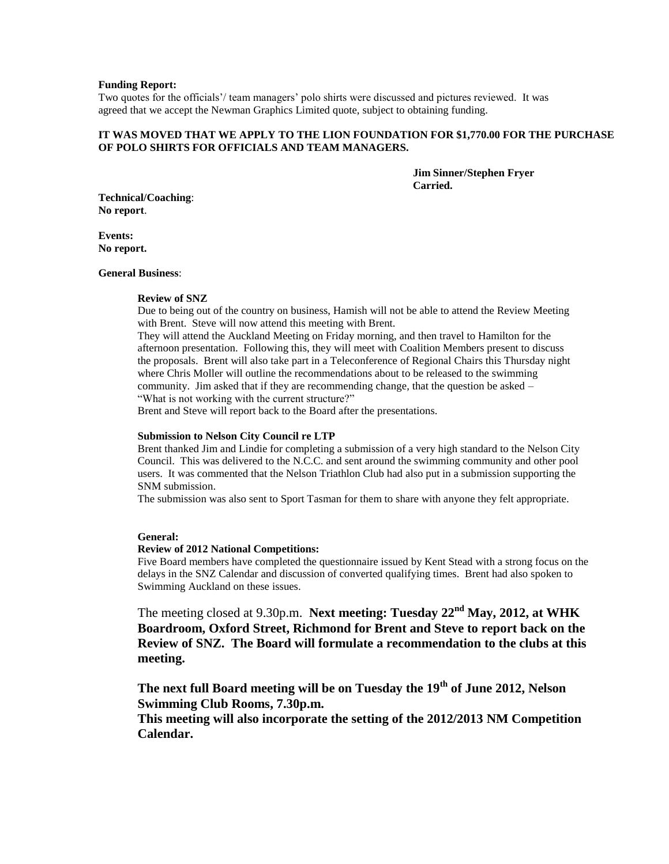#### **Funding Report:**

Two quotes for the officials'/ team managers' polo shirts were discussed and pictures reviewed. It was agreed that we accept the Newman Graphics Limited quote, subject to obtaining funding.

# **IT WAS MOVED THAT WE APPLY TO THE LION FOUNDATION FOR \$1,770.00 FOR THE PURCHASE OF POLO SHIRTS FOR OFFICIALS AND TEAM MANAGERS.**

**Jim Sinner/Stephen Fryer Carried.**

**Technical/Coaching**: **No report**.

**Events: No report.**

#### **General Business**:

#### **Review of SNZ**

Due to being out of the country on business, Hamish will not be able to attend the Review Meeting with Brent. Steve will now attend this meeting with Brent.

They will attend the Auckland Meeting on Friday morning, and then travel to Hamilton for the afternoon presentation. Following this, they will meet with Coalition Members present to discuss the proposals. Brent will also take part in a Teleconference of Regional Chairs this Thursday night where Chris Moller will outline the recommendations about to be released to the swimming community. Jim asked that if they are recommending change, that the question be asked – "What is not working with the current structure?"

Brent and Steve will report back to the Board after the presentations.

#### **Submission to Nelson City Council re LTP**

Brent thanked Jim and Lindie for completing a submission of a very high standard to the Nelson City Council. This was delivered to the N.C.C. and sent around the swimming community and other pool users. It was commented that the Nelson Triathlon Club had also put in a submission supporting the SNM submission.

The submission was also sent to Sport Tasman for them to share with anyone they felt appropriate.

#### **General:**

#### **Review of 2012 National Competitions:**

Five Board members have completed the questionnaire issued by Kent Stead with a strong focus on the delays in the SNZ Calendar and discussion of converted qualifying times. Brent had also spoken to Swimming Auckland on these issues.

The meeting closed at 9.30p.m. **Next meeting: Tuesday 22nd May, 2012, at WHK Boardroom, Oxford Street, Richmond for Brent and Steve to report back on the Review of SNZ. The Board will formulate a recommendation to the clubs at this meeting.**

**The next full Board meeting will be on Tuesday the 19th of June 2012, Nelson Swimming Club Rooms, 7.30p.m.**

**This meeting will also incorporate the setting of the 2012/2013 NM Competition Calendar.**